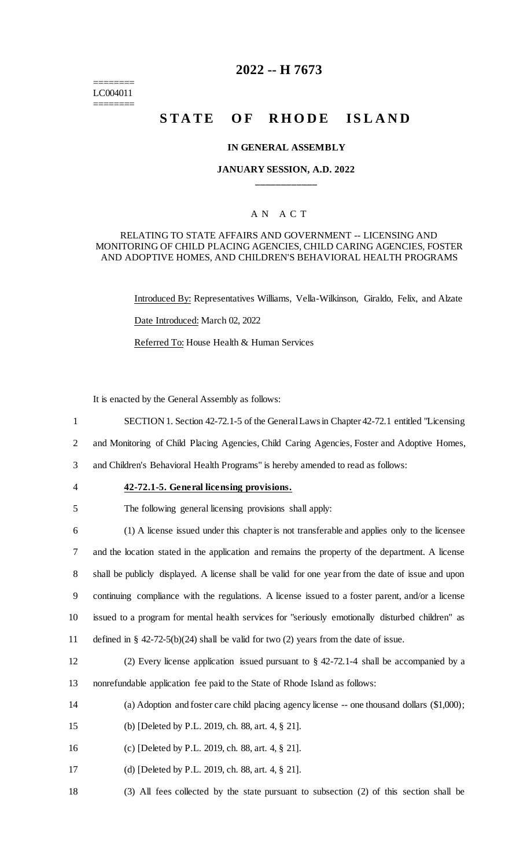======== LC004011 ========

# **2022 -- H 7673**

# **STATE OF RHODE ISLAND**

#### **IN GENERAL ASSEMBLY**

### **JANUARY SESSION, A.D. 2022 \_\_\_\_\_\_\_\_\_\_\_\_**

# A N A C T

#### RELATING TO STATE AFFAIRS AND GOVERNMENT -- LICENSING AND MONITORING OF CHILD PLACING AGENCIES, CHILD CARING AGENCIES, FOSTER AND ADOPTIVE HOMES, AND CHILDREN'S BEHAVIORAL HEALTH PROGRAMS

Introduced By: Representatives Williams, Vella-Wilkinson, Giraldo, Felix, and Alzate

Date Introduced: March 02, 2022

Referred To: House Health & Human Services

It is enacted by the General Assembly as follows:

1 SECTION 1. Section 42-72.1-5 of the General Laws in Chapter 42-72.1 entitled "Licensing

2 and Monitoring of Child Placing Agencies, Child Caring Agencies, Foster and Adoptive Homes,

3 and Children's Behavioral Health Programs" is hereby amended to read as follows:

4 **42-72.1-5. General licensing provisions.**

5 The following general licensing provisions shall apply:

 (1) A license issued under this chapter is not transferable and applies only to the licensee and the location stated in the application and remains the property of the department. A license shall be publicly displayed. A license shall be valid for one year from the date of issue and upon continuing compliance with the regulations. A license issued to a foster parent, and/or a license issued to a program for mental health services for "seriously emotionally disturbed children" as defined in § 42-72-5(b)(24) shall be valid for two (2) years from the date of issue.

12 (2) Every license application issued pursuant to § 42-72.1-4 shall be accompanied by a 13 nonrefundable application fee paid to the State of Rhode Island as follows:

- 14 (a) Adoption and foster care child placing agency license -- one thousand dollars (\$1,000);
- 15 (b) [Deleted by P.L. 2019, ch. 88, art. 4, § 21].
- 16 (c) [Deleted by P.L. 2019, ch. 88, art. 4, § 21].
- 17 (d) [Deleted by P.L. 2019, ch. 88, art. 4, § 21].
- 18 (3) All fees collected by the state pursuant to subsection (2) of this section shall be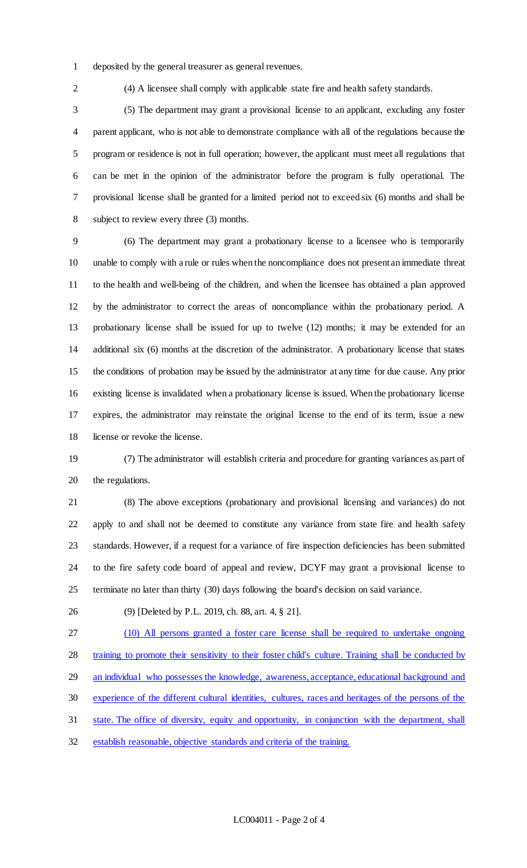- deposited by the general treasurer as general revenues.
- 

(4) A licensee shall comply with applicable state fire and health safety standards.

 (5) The department may grant a provisional license to an applicant, excluding any foster parent applicant, who is not able to demonstrate compliance with all of the regulations because the program or residence is not in full operation; however, the applicant must meet all regulations that can be met in the opinion of the administrator before the program is fully operational. The provisional license shall be granted for a limited period not to exceed six (6) months and shall be subject to review every three (3) months.

 (6) The department may grant a probationary license to a licensee who is temporarily unable to comply with a rule or rules when the noncompliance does not present an immediate threat to the health and well-being of the children, and when the licensee has obtained a plan approved by the administrator to correct the areas of noncompliance within the probationary period. A probationary license shall be issued for up to twelve (12) months; it may be extended for an additional six (6) months at the discretion of the administrator. A probationary license that states the conditions of probation may be issued by the administrator at any time for due cause. Any prior existing license is invalidated when a probationary license is issued. When the probationary license expires, the administrator may reinstate the original license to the end of its term, issue a new license or revoke the license.

 (7) The administrator will establish criteria and procedure for granting variances as part of the regulations.

 (8) The above exceptions (probationary and provisional licensing and variances) do not apply to and shall not be deemed to constitute any variance from state fire and health safety standards. However, if a request for a variance of fire inspection deficiencies has been submitted to the fire safety code board of appeal and review, DCYF may grant a provisional license to terminate no later than thirty (30) days following the board's decision on said variance.

(9) [Deleted by P.L. 2019, ch. 88, art. 4, § 21].

 (10) All persons granted a foster care license shall be required to undertake ongoing training to promote their sensitivity to their foster child's culture. Training shall be conducted by an individual who possesses the knowledge, awareness, acceptance, educational background and experience of the different cultural identities, cultures, races and heritages of the persons of the

state. The office of diversity, equity and opportunity, in conjunction with the department, shall

establish reasonable, objective standards and criteria of the training.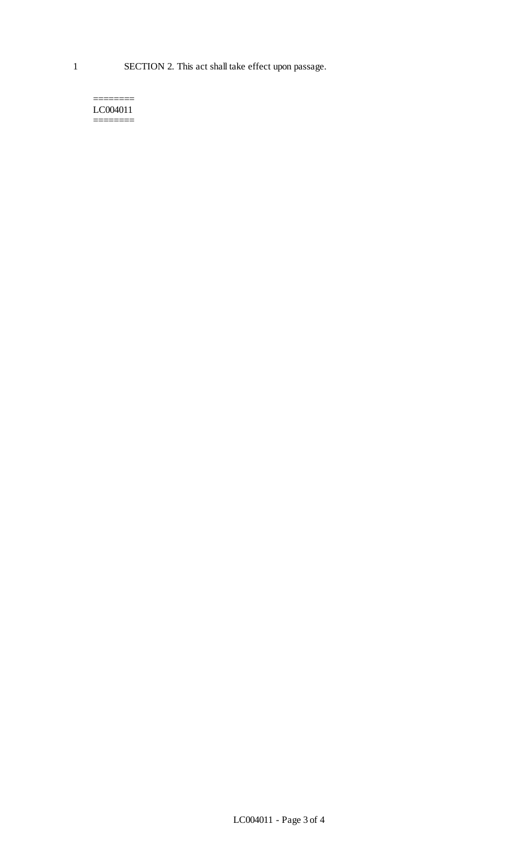======== LC004011 ========